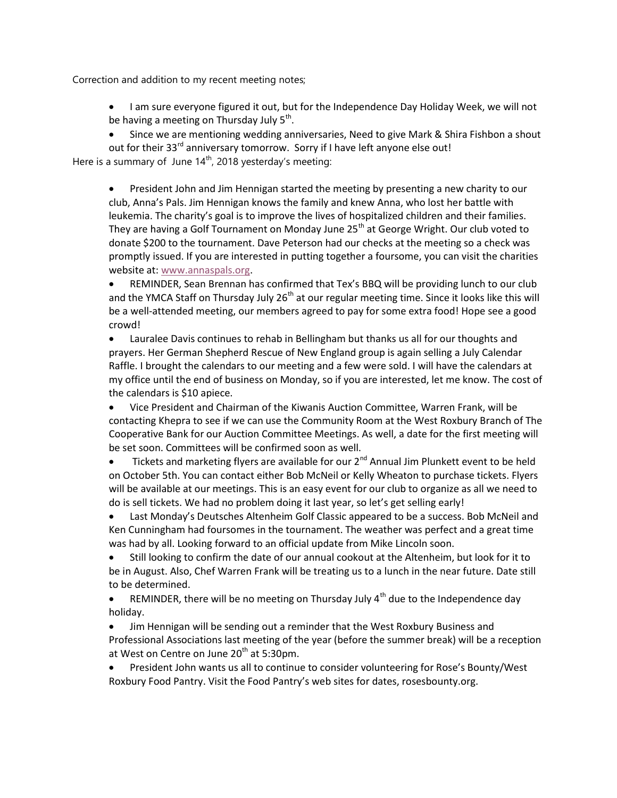Correction and addition to my recent meeting notes;

- I am sure everyone figured it out, but for the Independence Day Holiday Week, we will not be having a meeting on Thursday July 5<sup>th</sup>.
- Since we are mentioning wedding anniversaries, Need to give Mark & Shira Fishbon a shout out for their 33<sup>rd</sup> anniversary tomorrow. Sorry if I have left anyone else out!

Here is a summary of June  $14<sup>th</sup>$ , 2018 yesterday's meeting:

 President John and Jim Hennigan started the meeting by presenting a new charity to our club, Anna's Pals. Jim Hennigan knows the family and knew Anna, who lost her battle with leukemia. The charity's goal is to improve the lives of hospitalized children and their families. They are having a Golf Tournament on Monday June 25<sup>th</sup> at George Wright. Our club voted to donate \$200 to the tournament. Dave Peterson had our checks at the meeting so a check was promptly issued. If you are interested in putting together a foursome, you can visit the charities website at: www.annaspals.org.

 REMINDER, Sean Brennan has confirmed that Tex's BBQ will be providing lunch to our club and the YMCA Staff on Thursday July 26<sup>th</sup> at our regular meeting time. Since it looks like this will be a well-attended meeting, our members agreed to pay for some extra food! Hope see a good crowd!

 Lauralee Davis continues to rehab in Bellingham but thanks us all for our thoughts and prayers. Her German Shepherd Rescue of New England group is again selling a July Calendar Raffle. I brought the calendars to our meeting and a few were sold. I will have the calendars at my office until the end of business on Monday, so if you are interested, let me know. The cost of the calendars is \$10 apiece.

 Vice President and Chairman of the Kiwanis Auction Committee, Warren Frank, will be contacting Khepra to see if we can use the Community Room at the West Roxbury Branch of The Cooperative Bank for our Auction Committee Meetings. As well, a date for the first meeting will be set soon. Committees will be confirmed soon as well.

 $\bullet$  Tickets and marketing flyers are available for our 2<sup>nd</sup> Annual Jim Plunkett event to be held on October 5th. You can contact either Bob McNeil or Kelly Wheaton to purchase tickets. Flyers will be available at our meetings. This is an easy event for our club to organize as all we need to do is sell tickets. We had no problem doing it last year, so let's get selling early!

 Last Monday's Deutsches Altenheim Golf Classic appeared to be a success. Bob McNeil and Ken Cunningham had foursomes in the tournament. The weather was perfect and a great time was had by all. Looking forward to an official update from Mike Lincoln soon.

 Still looking to confirm the date of our annual cookout at the Altenheim, but look for it to be in August. Also, Chef Warren Frank will be treating us to a lunch in the near future. Date still to be determined.

**•** REMINDER, there will be no meeting on Thursday July  $4<sup>th</sup>$  due to the Independence day holiday.

 Jim Hennigan will be sending out a reminder that the West Roxbury Business and Professional Associations last meeting of the year (before the summer break) will be a reception at West on Centre on June  $20<sup>th</sup>$  at 5:30pm.

 President John wants us all to continue to consider volunteering for Rose's Bounty/West Roxbury Food Pantry. Visit the Food Pantry's web sites for dates, rosesbounty.org.